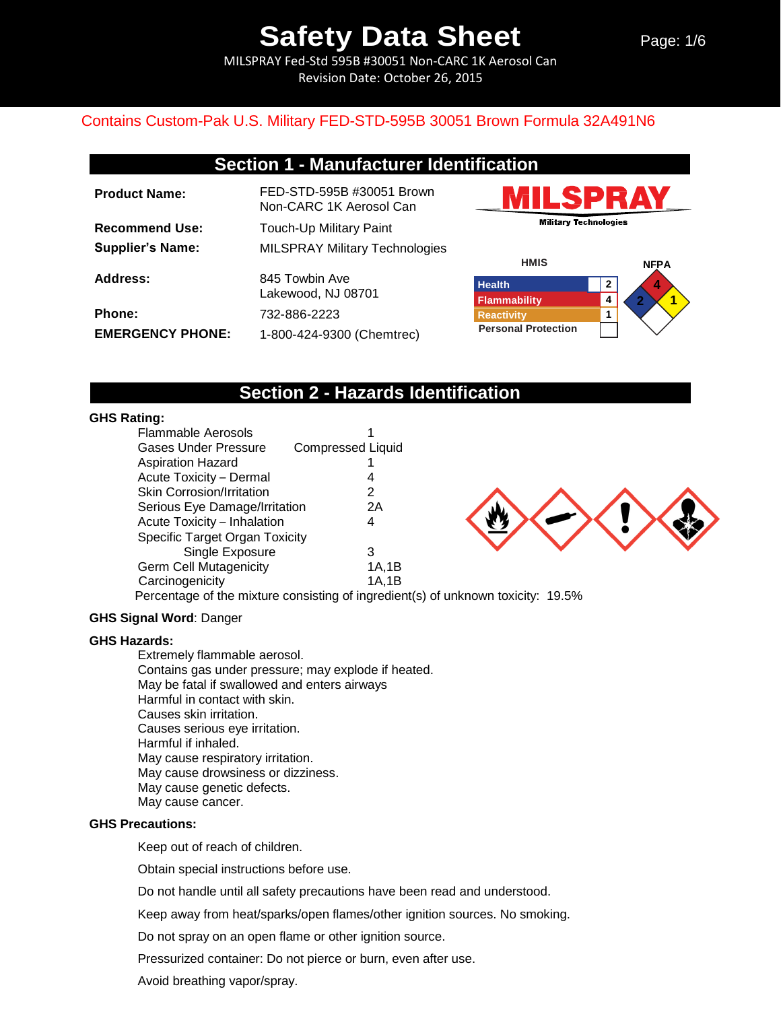MILSPRAY Fed-Std 595B #30051 Non-CARC 1K Aerosol Can Revision Date: October 26, 2015

### Contains Custom-Pak U.S. Military FED-STD-595B 30051 Brown Formula 32A491N6

| <b>Product Name:</b>    | FED-STD-595B #30051 Brown<br>Non-CARC 1K Aerosol Can |
|-------------------------|------------------------------------------------------|
| <b>Recommend Use:</b>   | Touch-Up Military Paint                              |
| <b>Supplier's Name:</b> | <b>MILSPRAY Military Technologies</b>                |
| Address:                | 845 Towbin Ave<br>Lakewood, NJ 08701                 |
| Phone:                  | 732-886-2223                                         |
| <b>EMERGENCY PHONE:</b> | 1-800-424-9300 (Chemtrec)                            |





## **Section 2 - Hazards Identification**

### **GHS Rating:**

| Flammable Aerosols                    |                          |
|---------------------------------------|--------------------------|
| Gases Under Pressure                  | <b>Compressed Liquid</b> |
| <b>Aspiration Hazard</b>              |                          |
| Acute Toxicity - Dermal               | 4                        |
| <b>Skin Corrosion/Irritation</b>      | 2                        |
| Serious Eye Damage/Irritation         | 2Α                       |
| Acute Toxicity - Inhalation           | 4                        |
| <b>Specific Target Organ Toxicity</b> |                          |
| Single Exposure                       | 3                        |
| <b>Germ Cell Mutagenicity</b>         | 1A,1B                    |
| Carcinogenicity                       | 1A.1B                    |
|                                       |                          |



Percentage of the mixture consisting of ingredient(s) of unknown toxicity: 19.5%

### **GHS Signal Word**: Danger

#### **GHS Hazards:**

Extremely flammable aerosol. Contains gas under pressure; may explode if heated. May be fatal if swallowed and enters airways Harmful in contact with skin. Causes skin irritation. Causes serious eye irritation. Harmful if inhaled. May cause respiratory irritation. May cause drowsiness or dizziness. May cause genetic defects. May cause cancer.

#### **GHS Precautions:**

Keep out of reach of children.

Obtain special instructions before use.

Do not handle until all safety precautions have been read and understood.

Keep away from heat/sparks/open flames/other ignition sources. No smoking.

Do not spray on an open flame or other ignition source.

Pressurized container: Do not pierce or burn, even after use.

Avoid breathing vapor/spray.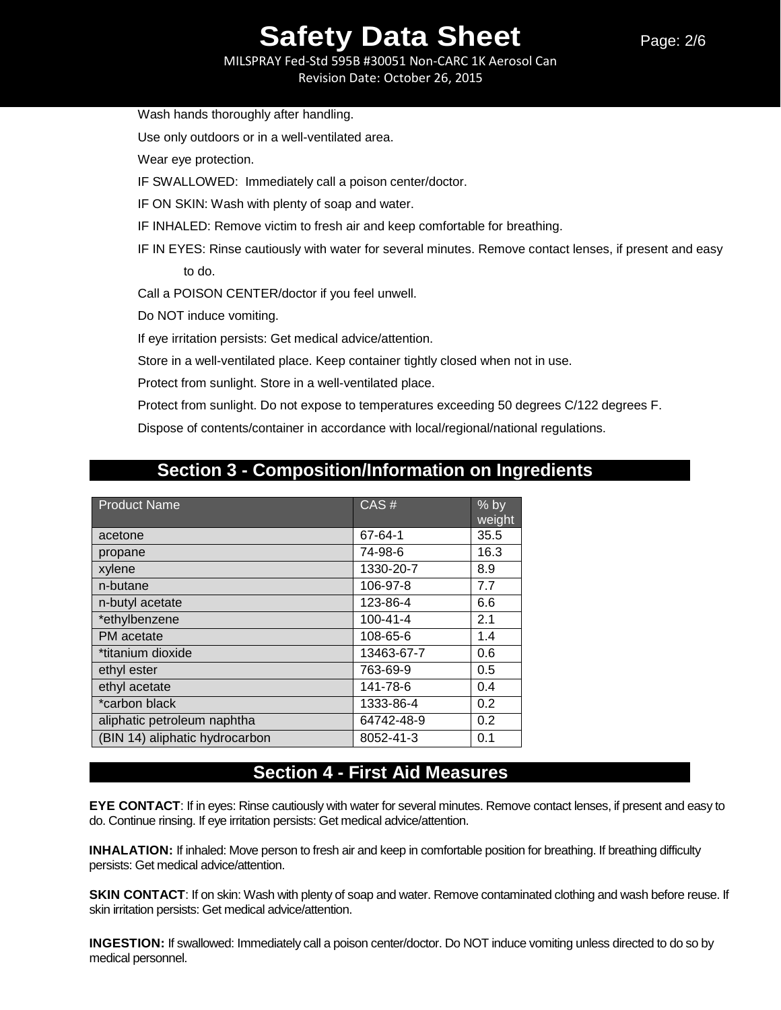MILSPRAY Fed-Std 595B #30051 Non-CARC 1K Aerosol Can Revision Date: October 26, 2015

Wash hands thoroughly after handling.

Use only outdoors or in a well-ventilated area.

Wear eye protection.

IF SWALLOWED: Immediately call a poison center/doctor.

IF ON SKIN: Wash with plenty of soap and water.

IF INHALED: Remove victim to fresh air and keep comfortable for breathing.

IF IN EYES: Rinse cautiously with water for several minutes. Remove contact lenses, if present and easy to do.

Call a POISON CENTER/doctor if you feel unwell.

Do NOT induce vomiting.

If eye irritation persists: Get medical advice/attention.

Store in a well-ventilated place. Keep container tightly closed when not in use.

Protect from sunlight. Store in a well-ventilated place.

Protect from sunlight. Do not expose to temperatures exceeding 50 degrees C/122 degrees F.

Dispose of contents/container in accordance with local/regional/national regulations.

## **Section 3 - Composition/Information on Ingredients**

| <b>Product Name</b>            | CAS#           | $%$ by<br>weight |
|--------------------------------|----------------|------------------|
| acetone                        | 67-64-1        | 35.5             |
| propane                        | 74-98-6        | 16.3             |
| xylene                         | 1330-20-7      | 8.9              |
| n-butane                       | 106-97-8       | 7.7              |
| n-butyl acetate                | 123-86-4       | 6.6              |
| *ethylbenzene                  | $100 - 41 - 4$ | 2.1              |
| PM acetate                     | 108-65-6       | 1.4              |
| *titanium dioxide              | 13463-67-7     | 0.6              |
| ethyl ester                    | 763-69-9       | 0.5              |
| ethyl acetate                  | 141-78-6       | 0.4              |
| *carbon black                  | 1333-86-4      | 0.2              |
| aliphatic petroleum naphtha    | 64742-48-9     | 0.2              |
| (BIN 14) aliphatic hydrocarbon | 8052-41-3      | 0.1              |

## **Section 4 - First Aid Measures**

**EYE CONTACT**: If in eyes: Rinse cautiously with water for several minutes. Remove contact lenses, if present and easy to do. Continue rinsing. If eye irritation persists: Get medical advice/attention.

**INHALATION:** If inhaled: Move person to fresh air and keep in comfortable position for breathing. If breathing difficulty persists: Get medical advice/attention.

**SKIN CONTACT:** If on skin: Wash with plenty of soap and water. Remove contaminated clothing and wash before reuse. If skin irritation persists: Get medical advice/attention.

**INGESTION:** If swallowed: Immediately call a poison center/doctor. Do NOT induce vomiting unless directed to do so by medical personnel.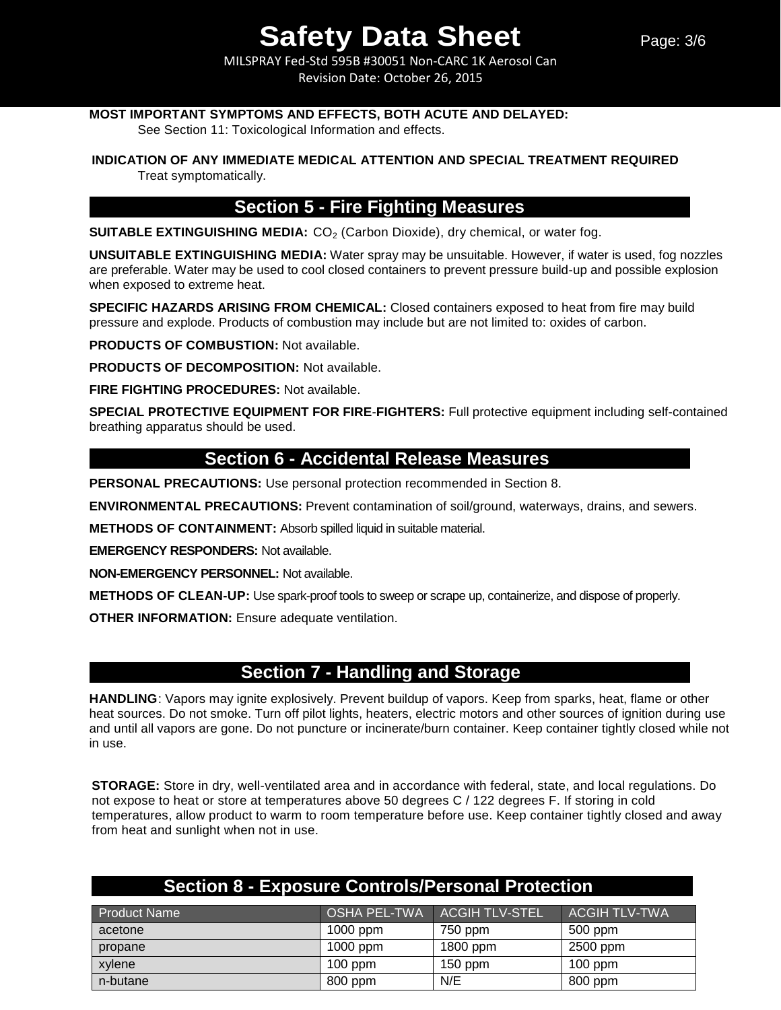MILSPRAY Fed-Std 595B #30051 Non-CARC 1K Aerosol Can Revision Date: October 26, 2015

### **MOST IMPORTANT SYMPTOMS AND EFFECTS, BOTH ACUTE AND DELAYED:**

See Section 11: Toxicological Information and effects.

### **INDICATION OF ANY IMMEDIATE MEDICAL ATTENTION AND SPECIAL TREATMENT REQUIRED**

Treat symptomatically.

## **Section 5 - Fire Fighting Measures**

**SUITABLE EXTINGUISHING MEDIA:** CO<sub>2</sub> (Carbon Dioxide), dry chemical, or water fog.

**UNSUITABLE EXTINGUISHING MEDIA:** Water spray may be unsuitable. However, if water is used, fog nozzles are preferable. Water may be used to cool closed containers to prevent pressure build-up and possible explosion when exposed to extreme heat.

**SPECIFIC HAZARDS ARISING FROM CHEMICAL:** Closed containers exposed to heat from fire may build pressure and explode. Products of combustion may include but are not limited to: oxides of carbon.

**PRODUCTS OF COMBUSTION:** Not available.

**PRODUCTS OF DECOMPOSITION:** Not available.

**FIRE FIGHTING PROCEDURES:** Not available.

**SPECIAL PROTECTIVE EQUIPMENT FOR FIRE**-**FIGHTERS:** Full protective equipment including self-contained breathing apparatus should be used.

## **Section 6 - Accidental Release Measures**

**PERSONAL PRECAUTIONS:** Use personal protection recommended in Section 8.

**ENVIRONMENTAL PRECAUTIONS:** Prevent contamination of soil/ground, waterways, drains, and sewers.

**METHODS OF CONTAINMENT:** Absorb spilled liquid in suitable material.

**EMERGENCY RESPONDERS:** Not available.

**NON-EMERGENCY PERSONNEL:** Not available.

**METHODS OF CLEAN-UP:** Use spark-proof tools to sweep or scrape up, containerize, and dispose of properly.

**OTHER INFORMATION:** Ensure adequate ventilation.

## **Section 7 - Handling and Storage**

**HANDLING**: Vapors may ignite explosively. Prevent buildup of vapors. Keep from sparks, heat, flame or other heat sources. Do not smoke. Turn off pilot lights, heaters, electric motors and other sources of ignition during use and until all vapors are gone. Do not puncture or incinerate/burn container. Keep container tightly closed while not in use.

**STORAGE:** Store in dry, well-ventilated area and in accordance with federal, state, and local regulations. Do not expose to heat or store at temperatures above 50 degrees C / 122 degrees F. If storing in cold temperatures, allow product to warm to room temperature before use. Keep container tightly closed and away from heat and sunlight when not in use.

| <b>Section 8 - Exposure Controls/Personal Protection</b> |            |                               |                      |
|----------------------------------------------------------|------------|-------------------------------|----------------------|
| <b>Product Name</b>                                      |            | OSHA PEL-TWA   ACGIH TLV-STEL | <b>ACGIH TLV-TWA</b> |
| acetone                                                  | $1000$ ppm | 750 ppm                       | 500 ppm              |
| propane                                                  | 1000 ppm   | 1800 ppm                      | 2500 ppm             |
| xylene                                                   | $100$ ppm  | $150$ ppm                     | $100$ ppm            |
| n-butane                                                 | 800 ppm    | N/E                           | 800 ppm              |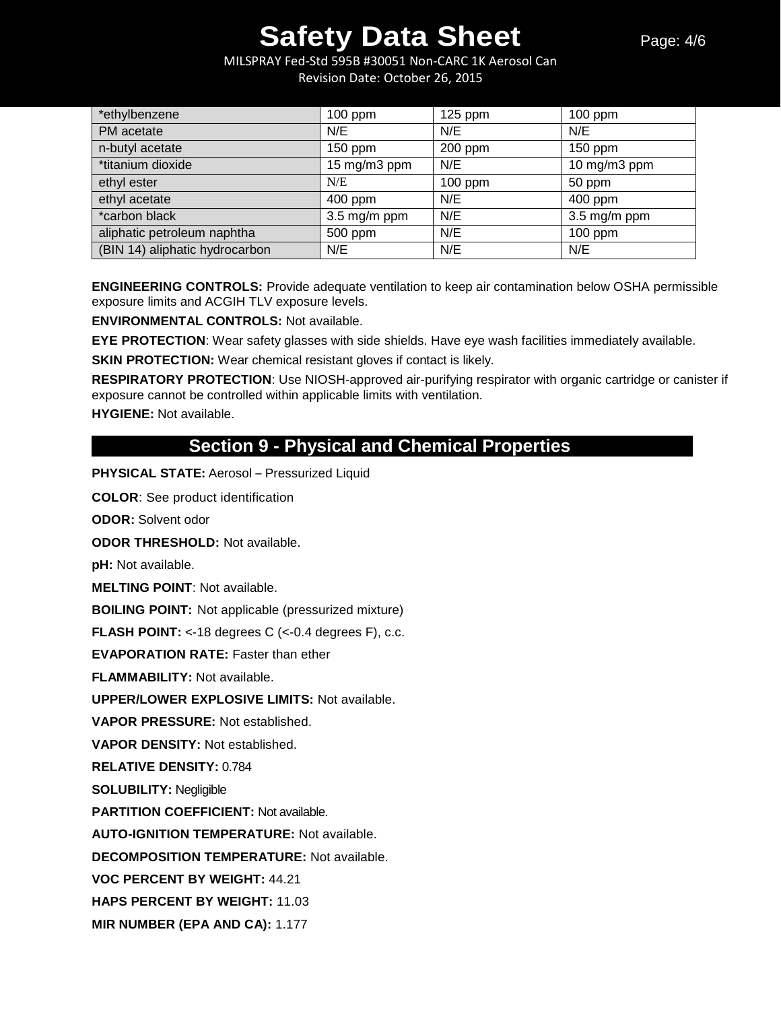MILSPRAY Fed-Std 595B #30051 Non-CARC 1K Aerosol Can Revision Date: October 26, 2015

| *ethylbenzene                  | $100$ ppm                 | $125$ ppm | $100$ ppm                 |
|--------------------------------|---------------------------|-----------|---------------------------|
| PM acetate                     | N/E                       | N/E       | N/E                       |
| n-butyl acetate                | $150$ ppm                 | 200 ppm   | 150 ppm                   |
| *titanium dioxide              | 15 mg/m3 ppm              | N/E       | 10 mg/m3 ppm              |
| ethyl ester                    | N/E                       | $100$ ppm | 50 ppm                    |
| ethyl acetate                  | 400 ppm                   | N/E       | 400 ppm                   |
| *carbon black                  | $3.5 \,\mathrm{mg/m}$ ppm | N/E       | $3.5 \,\mathrm{mg/m}$ ppm |
| aliphatic petroleum naphtha    | 500 ppm                   | N/E       | $100$ ppm                 |
| (BIN 14) aliphatic hydrocarbon | N/E                       | N/E       | N/E                       |

**ENGINEERING CONTROLS:** Provide adequate ventilation to keep air contamination below OSHA permissible exposure limits and ACGIH TLV exposure levels.

**ENVIRONMENTAL CONTROLS:** Not available.

**EYE PROTECTION**: Wear safety glasses with side shields. Have eye wash facilities immediately available.

**SKIN PROTECTION:** Wear chemical resistant gloves if contact is likely.

**RESPIRATORY PROTECTION**: Use NIOSH-approved air-purifying respirator with organic cartridge or canister if exposure cannot be controlled within applicable limits with ventilation.

**HYGIENE:** Not available.

## **Section 9 - Physical and Chemical Properties**

**PHYSICAL STATE:** Aerosol – Pressurized Liquid

**COLOR**: See product identification

**ODOR:** Solvent odor

**ODOR THRESHOLD:** Not available.

**pH:** Not available.

**MELTING POINT**: Not available.

**BOILING POINT:** Not applicable (pressurized mixture)

**FLASH POINT:** <-18 degrees C (<-0.4 degrees F), c.c.

**EVAPORATION RATE:** Faster than ether

**FLAMMABILITY:** Not available.

**UPPER/LOWER EXPLOSIVE LIMITS:** Not available.

**VAPOR PRESSURE:** Not established.

**VAPOR DENSITY:** Not established.

**RELATIVE DENSITY:** 0.784

**SOLUBILITY:** Negligible

**PARTITION COEFFICIENT:** Not available.

**AUTO-IGNITION TEMPERATURE:** Not available.

**DECOMPOSITION TEMPERATURE:** Not available.

**VOC PERCENT BY WEIGHT:** 44.21

**HAPS PERCENT BY WEIGHT:** 11.03

**MIR NUMBER (EPA AND CA):** 1.177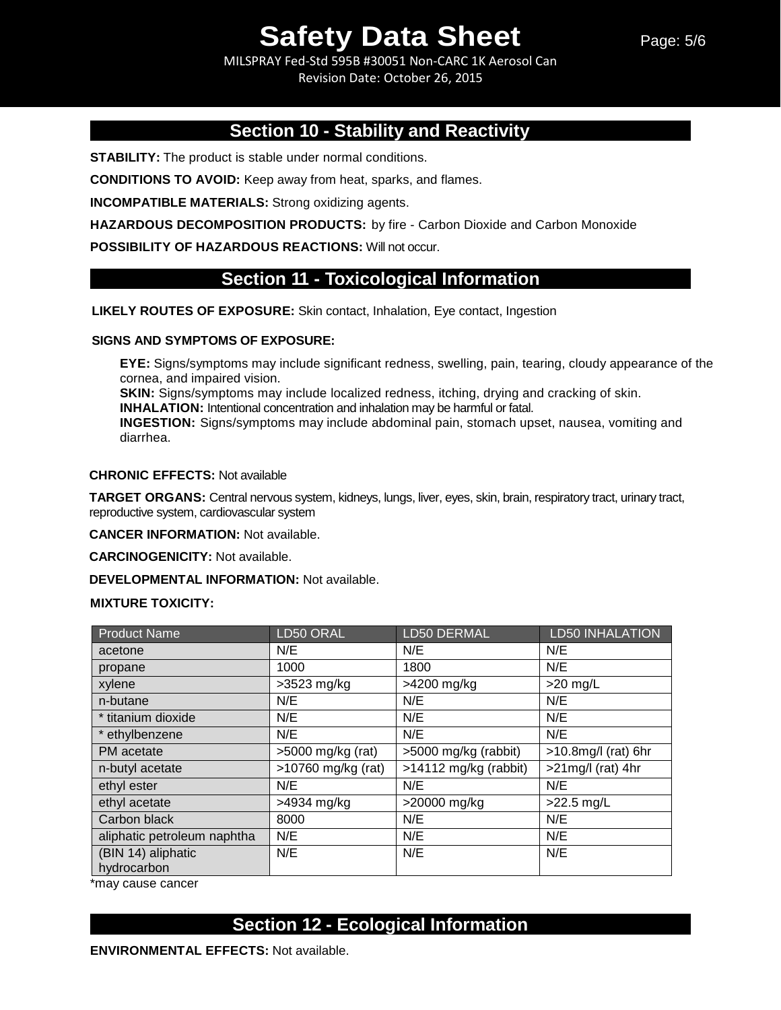MILSPRAY Fed-Std 595B #30051 Non-CARC 1K Aerosol Can Revision Date: October 26, 2015

## **Section 10 - Stability and Reactivity**

**STABILITY:** The product is stable under normal conditions.

**CONDITIONS TO AVOID:** Keep away from heat, sparks, and flames.

**INCOMPATIBLE MATERIALS:** Strong oxidizing agents.

**HAZARDOUS DECOMPOSITION PRODUCTS:** by fire - Carbon Dioxide and Carbon Monoxide

**POSSIBILITY OF HAZARDOUS REACTIONS:** Will not occur.

## **Section 11 - Toxicological Information**

**LIKELY ROUTES OF EXPOSURE:** Skin contact, Inhalation, Eye contact, Ingestion

#### **SIGNS AND SYMPTOMS OF EXPOSURE:**

**EYE:** Signs/symptoms may include significant redness, swelling, pain, tearing, cloudy appearance of the cornea, and impaired vision.

**SKIN:** Signs/symptoms may include localized redness, itching, drying and cracking of skin.

**INHALATION:** Intentional concentration and inhalation may be harmful or fatal.

**INGESTION:** Signs/symptoms may include abdominal pain, stomach upset, nausea, vomiting and diarrhea.

### **CHRONIC EFFECTS:** Not available

**TARGET ORGANS:** Central nervous system, kidneys, lungs, liver, eyes, skin, brain, respiratory tract, urinary tract, reproductive system, cardiovascular system

**CANCER INFORMATION:** Not available.

**CARCINOGENICITY:** Not available.

**DEVELOPMENTAL INFORMATION:** Not available.

#### **MIXTURE TOXICITY:**

| <b>Product Name</b>         | LD50 ORAL           | LD50 DERMAL             | LD50 INHALATION        |
|-----------------------------|---------------------|-------------------------|------------------------|
| acetone                     | N/E                 | N/E                     | N/E                    |
| propane                     | 1000                | 1800                    | N/E                    |
| xylene                      | $>3523$ mg/kg       | >4200 mg/kg             | $>20$ mg/L             |
| n-butane                    | N/E                 | N/E                     | N/E                    |
| * titanium dioxide          | N/E                 | N/E                     | N/E                    |
| * ethylbenzene              | N/E                 | N/E                     | N/E                    |
| PM acetate                  | $>5000$ mg/kg (rat) | >5000 mg/kg (rabbit)    | $>10.8$ mg/l (rat) 6hr |
| n-butyl acetate             | >10760 mg/kg (rat)  | $>14112$ mg/kg (rabbit) | $>21$ mg/l (rat) 4hr   |
| ethyl ester                 | N/E                 | N/E                     | N/E                    |
| ethyl acetate               | >4934 mg/kg         | >20000 mg/kg            | $>22.5$ mg/L           |
| Carbon black                | 8000                | N/E                     | N/E                    |
| aliphatic petroleum naphtha | N/E                 | N/E                     | N/E                    |
| (BIN 14) aliphatic          | N/E                 | N/E                     | N/E                    |
| hydrocarbon                 |                     |                         |                        |

\*may cause cancer

## **Section 12 - Ecological Information**

**ENVIRONMENTAL EFFECTS:** Not available.